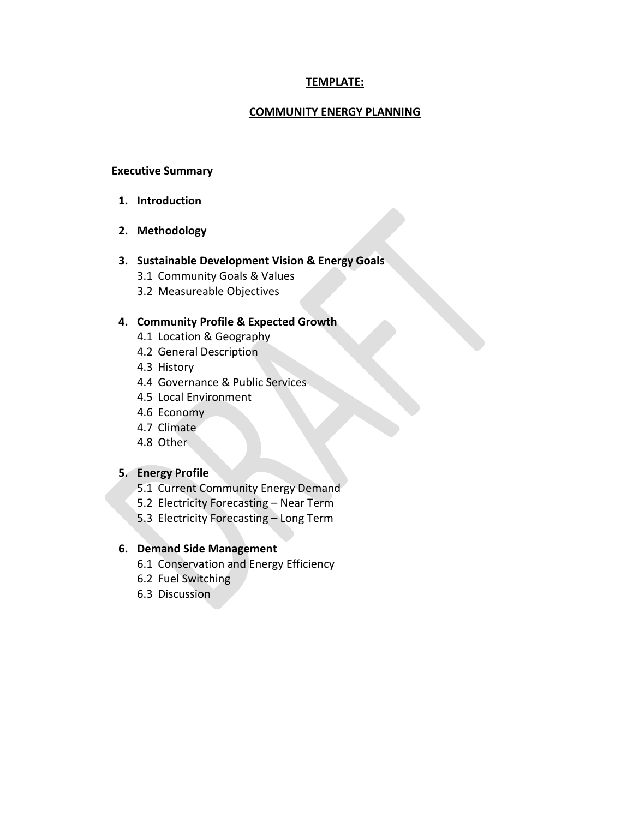# **TEMPLATE:**

#### **COMMUNITY ENERGY PLANNING**

#### **Executive Summary**

- **1. Introduction**
- **2. Methodology**

#### **3. Sustainable Development Vision & Energy Goals**

- 3.1 Community Goals & Values
- 3.2 Measureable Objectives

#### **4. Community Profile & Expected Growth**

- 4.1 Location & Geography
- 4.2 General Description
- 4.3 History
- 4.4 Governance & Public Services
- 4.5 Local Environment
- 4.6 Economy
- 4.7 Climate
- 4.8 Other

#### **5. Energy Profile**

- 5.1 Current Community Energy Demand
- 5.2 Electricity Forecasting Near Term
- 5.3 Electricity Forecasting Long Term

#### **6. Demand Side Management**

- 6.1 Conservation and Energy Efficiency
- 6.2 Fuel Switching
- 6.3 Discussion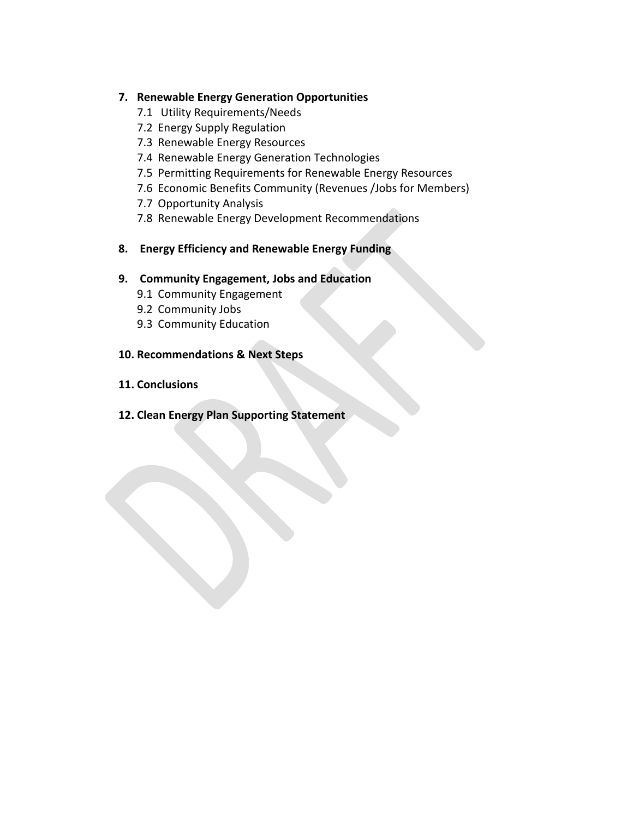## **7. Renewable Energy Generation Opportunities**

- 7.1 Utility Requirements/Needs
- 7.2 Energy Supply Regulation
- 7.3 Renewable Energy Resources
- 7.4 Renewable Energy Generation Technologies
- 7.5 Permitting Requirements for Renewable Energy Resources
- 7.6 Economic Benefits Community (Revenues /Jobs for Members)
- 7.7 Opportunity Analysis
- 7.8 Renewable Energy Development Recommendations

## **8. Energy Efficiency and Renewable Energy Funding**

## **9. Community Engagement, Jobs and Education**

- 9.1 Community Engagement
- 9.2 Community Jobs
- 9.3 Community Education

## **10. Recommendations & Next Steps**

- **11. Conclusions**
- **12. Clean Energy Plan Supporting Statement**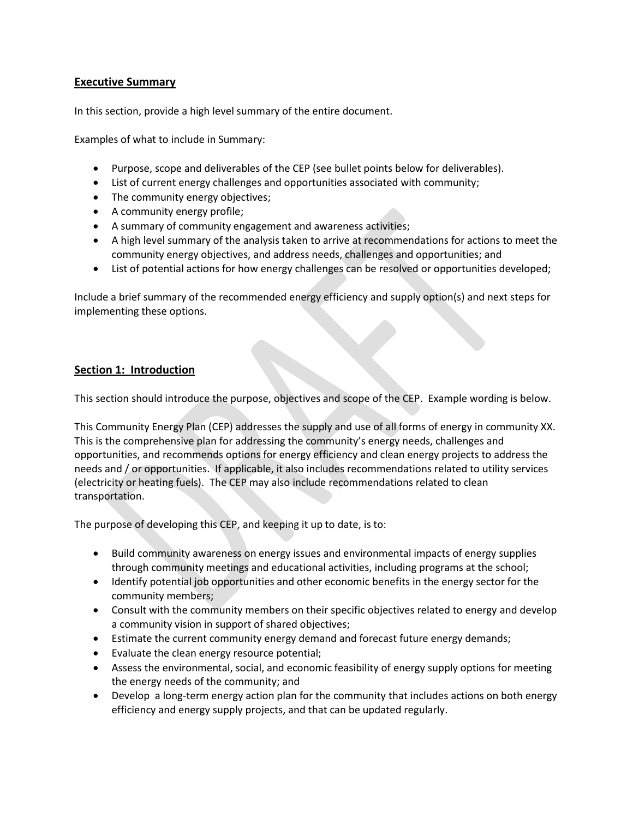## **Executive Summary**

In this section, provide a high level summary of the entire document.

Examples of what to include in Summary:

- Purpose, scope and deliverables of the CEP (see bullet points below for deliverables).
- List of current energy challenges and opportunities associated with community;
- The community energy objectives;
- A community energy profile;
- A summary of community engagement and awareness activities;
- A high level summary of the analysis taken to arrive at recommendations for actions to meet the community energy objectives, and address needs, challenges and opportunities; and
- List of potential actions for how energy challenges can be resolved or opportunities developed;

Include a brief summary of the recommended energy efficiency and supply option(s) and next steps for implementing these options.

## **Section 1: Introduction**

This section should introduce the purpose, objectives and scope of the CEP. Example wording is below.

This Community Energy Plan (CEP) addresses the supply and use of all forms of energy in community XX. This is the comprehensive plan for addressing the community's energy needs, challenges and opportunities, and recommends options for energy efficiency and clean energy projects to address the needs and / or opportunities. If applicable, it also includes recommendations related to utility services (electricity or heating fuels). The CEP may also include recommendations related to clean transportation.

The purpose of developing this CEP, and keeping it up to date, is to:

- Build community awareness on energy issues and environmental impacts of energy supplies through community meetings and educational activities, including programs at the school;
- Identify potential job opportunities and other economic benefits in the energy sector for the community members;
- Consult with the community members on their specific objectives related to energy and develop a community vision in support of shared objectives;
- Estimate the current community energy demand and forecast future energy demands;
- Evaluate the clean energy resource potential;
- Assess the environmental, social, and economic feasibility of energy supply options for meeting the energy needs of the community; and
- Develop a long-term energy action plan for the community that includes actions on both energy efficiency and energy supply projects, and that can be updated regularly.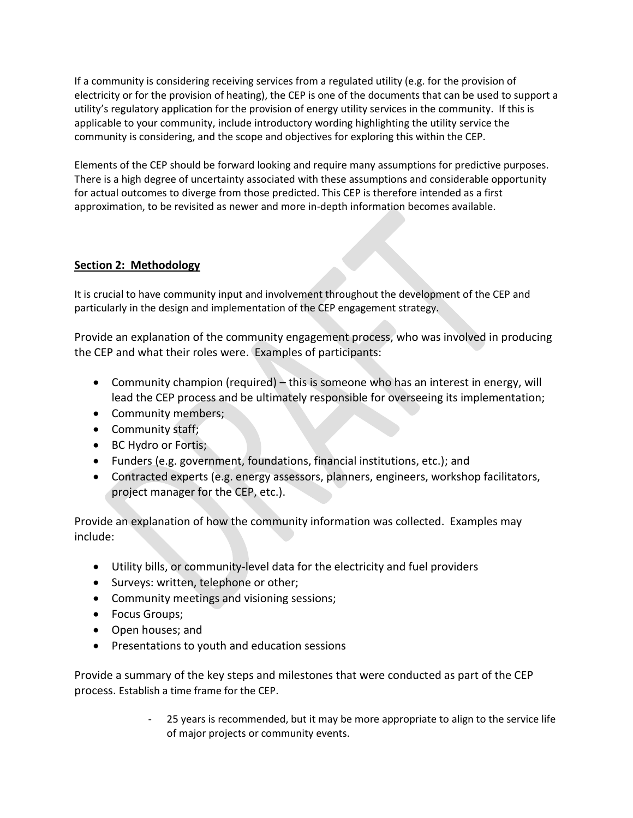If a community is considering receiving services from a regulated utility (e.g. for the provision of electricity or for the provision of heating), the CEP is one of the documents that can be used to support a utility's regulatory application for the provision of energy utility services in the community. If this is applicable to your community, include introductory wording highlighting the utility service the community is considering, and the scope and objectives for exploring this within the CEP.

Elements of the CEP should be forward looking and require many assumptions for predictive purposes. There is a high degree of uncertainty associated with these assumptions and considerable opportunity for actual outcomes to diverge from those predicted. This CEP is therefore intended as a first approximation, to be revisited as newer and more in-depth information becomes available.

## **Section 2: Methodology**

It is crucial to have community input and involvement throughout the development of the CEP and particularly in the design and implementation of the CEP engagement strategy.

Provide an explanation of the community engagement process, who was involved in producing the CEP and what their roles were. Examples of participants:

- Community champion (required) this is someone who has an interest in energy, will lead the CEP process and be ultimately responsible for overseeing its implementation;
- Community members;
- Community staff;
- BC Hydro or Fortis;
- Funders (e.g. government, foundations, financial institutions, etc.); and
- Contracted experts (e.g. energy assessors, planners, engineers, workshop facilitators, project manager for the CEP, etc.).

Provide an explanation of how the community information was collected. Examples may include:

- Utility bills, or community-level data for the electricity and fuel providers
- Surveys: written, telephone or other;
- Community meetings and visioning sessions;
- Focus Groups;
- Open houses; and
- Presentations to youth and education sessions

Provide a summary of the key steps and milestones that were conducted as part of the CEP process. Establish a time frame for the CEP.

> 25 years is recommended, but it may be more appropriate to align to the service life of major projects or community events.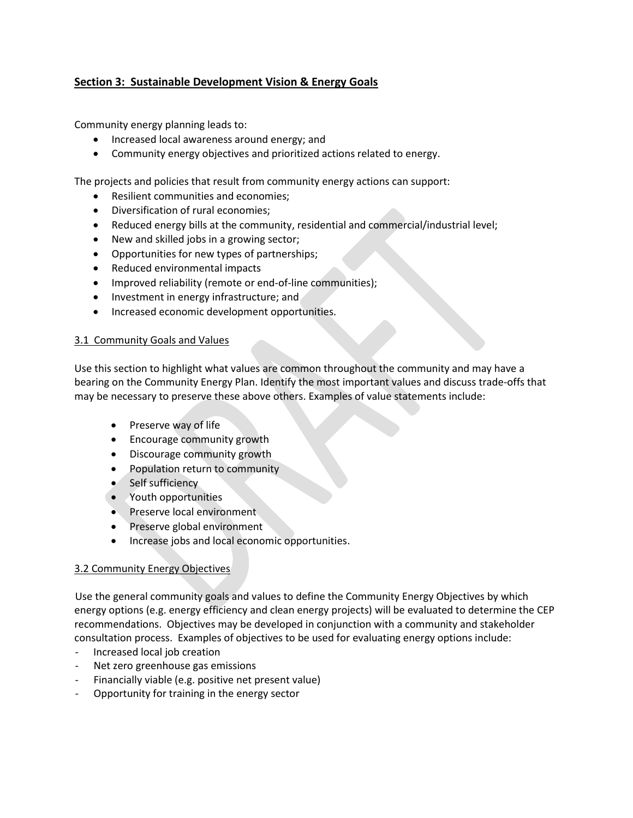# **Section 3: Sustainable Development Vision & Energy Goals**

Community energy planning leads to:

- Increased local awareness around energy; and
- Community energy objectives and prioritized actions related to energy.

The projects and policies that result from community energy actions can support:

- Resilient communities and economies:
- Diversification of rural economies;
- Reduced energy bills at the community, residential and commercial/industrial level;
- New and skilled jobs in a growing sector;
- Opportunities for new types of partnerships;
- Reduced environmental impacts
- Improved reliability (remote or end-of-line communities);
- Investment in energy infrastructure; and
- Increased economic development opportunities.

#### 3.1 Community Goals and Values

Use this section to highlight what values are common throughout the community and may have a bearing on the Community Energy Plan. Identify the most important values and discuss trade-offs that may be necessary to preserve these above others. Examples of value statements include:

- Preserve way of life
- Encourage community growth
- Discourage community growth
- Population return to community
- Self sufficiency
- Youth opportunities
- Preserve local environment
- Preserve global environment
- **•** Increase jobs and local economic opportunities.

## 3.2 Community Energy Objectives

Use the general community goals and values to define the Community Energy Objectives by which energy options (e.g. energy efficiency and clean energy projects) will be evaluated to determine the CEP recommendations. Objectives may be developed in conjunction with a community and stakeholder consultation process. Examples of objectives to be used for evaluating energy options include:

- Increased local job creation
- Net zero greenhouse gas emissions
- Financially viable (e.g. positive net present value)
- Opportunity for training in the energy sector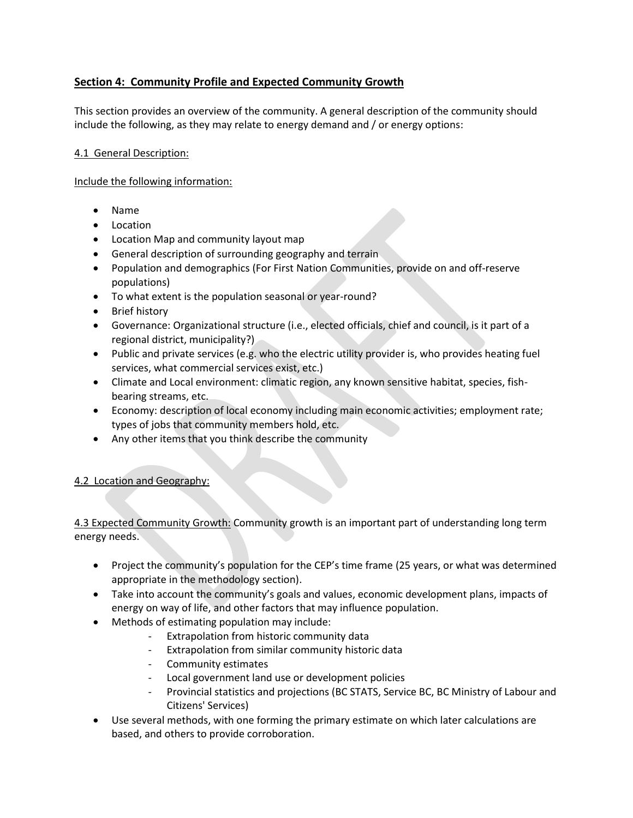# **Section 4: Community Profile and Expected Community Growth**

This section provides an overview of the community. A general description of the community should include the following, as they may relate to energy demand and / or energy options:

## 4.1 General Description:

Include the following information:

- Name
- Location
- Location Map and community layout map
- **•** General description of surrounding geography and terrain
- Population and demographics (For First Nation Communities, provide on and off-reserve populations)
- To what extent is the population seasonal or year-round?
- Brief history
- Governance: Organizational structure (i.e., elected officials, chief and council, is it part of a regional district, municipality?)
- Public and private services (e.g. who the electric utility provider is, who provides heating fuel services, what commercial services exist, etc.)
- Climate and Local environment: climatic region, any known sensitive habitat, species, fishbearing streams, etc.
- Economy: description of local economy including main economic activities; employment rate; types of jobs that community members hold, etc.
- Any other items that you think describe the community

# 4.2 Location and Geography:

4.3 Expected Community Growth: Community growth is an important part of understanding long term energy needs.

- Project the community's population for the CEP's time frame (25 years, or what was determined appropriate in the methodology section).
- Take into account the community's goals and values, economic development plans, impacts of energy on way of life, and other factors that may influence population.
- Methods of estimating population may include:
	- Extrapolation from historic community data
	- Extrapolation from similar community historic data
	- Community estimates
	- Local government land use or development policies
	- Provincial statistics and projections (BC STATS, Service BC, BC Ministry of Labour and Citizens' Services)
- Use several methods, with one forming the primary estimate on which later calculations are based, and others to provide corroboration.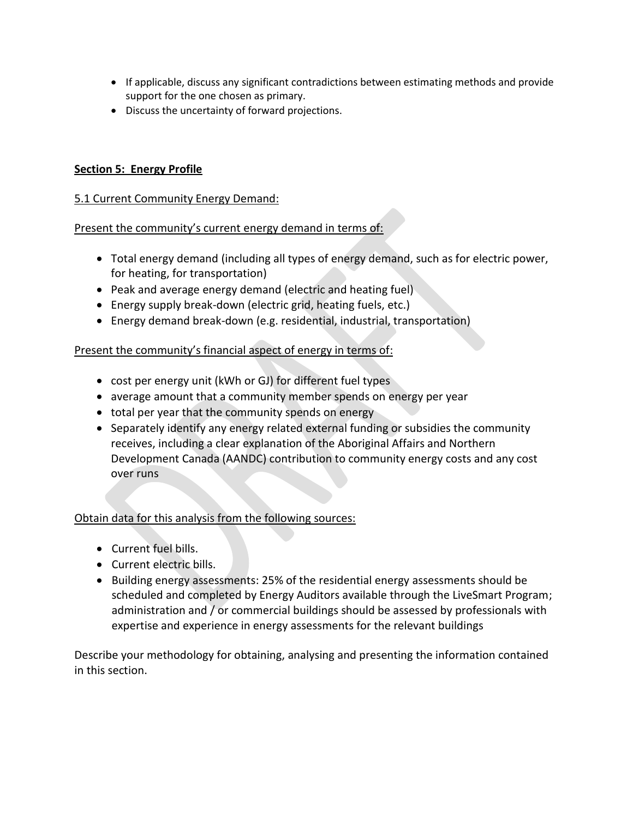- If applicable, discuss any significant contradictions between estimating methods and provide support for the one chosen as primary.
- Discuss the uncertainty of forward projections.

# **Section 5: Energy Profile**

## 5.1 Current Community Energy Demand:

## Present the community's current energy demand in terms of:

- Total energy demand (including all types of energy demand, such as for electric power, for heating, for transportation)
- Peak and average energy demand (electric and heating fuel)
- Energy supply break-down (electric grid, heating fuels, etc.)
- Energy demand break-down (e.g. residential, industrial, transportation)

## Present the community's financial aspect of energy in terms of:

- cost per energy unit (kWh or GJ) for different fuel types
- average amount that a community member spends on energy per year
- total per year that the community spends on energy
- Separately identify any energy related external funding or subsidies the community receives, including a clear explanation of the Aboriginal Affairs and Northern Development Canada (AANDC) contribution to community energy costs and any cost over runs

## Obtain data for this analysis from the following sources:

- Current fuel bills.
- Current electric bills.
- Building energy assessments: 25% of the residential energy assessments should be scheduled and completed by Energy Auditors available through the LiveSmart Program; administration and / or commercial buildings should be assessed by professionals with expertise and experience in energy assessments for the relevant buildings

Describe your methodology for obtaining, analysing and presenting the information contained in this section.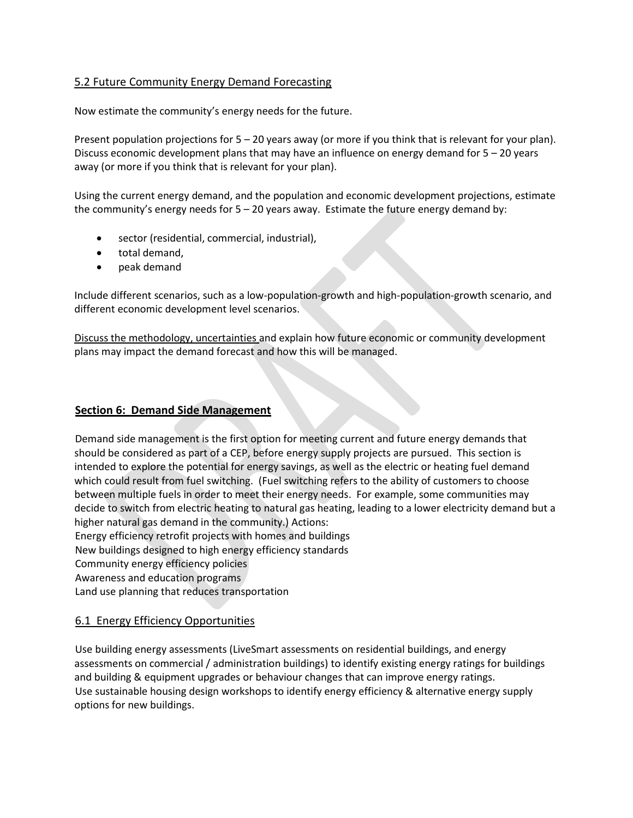## 5.2 Future Community Energy Demand Forecasting

Now estimate the community's energy needs for the future.

Present population projections for 5 – 20 years away (or more if you think that is relevant for your plan). Discuss economic development plans that may have an influence on energy demand for 5 – 20 years away (or more if you think that is relevant for your plan).

Using the current energy demand, and the population and economic development projections, estimate the community's energy needs for  $5 - 20$  years away. Estimate the future energy demand by:

- sector (residential, commercial, industrial),
- total demand,
- peak demand

Include different scenarios, such as a low-population-growth and high-population-growth scenario, and different economic development level scenarios.

Discuss the methodology, uncertainties and explain how future economic or community development plans may impact the demand forecast and how this will be managed.

#### **Section 6: Demand Side Management**

Demand side management is the first option for meeting current and future energy demands that should be considered as part of a CEP, before energy supply projects are pursued. This section is intended to explore the potential for energy savings, as well as the electric or heating fuel demand which could result from fuel switching. (Fuel switching refers to the ability of customers to choose between multiple fuels in order to meet their energy needs. For example, some communities may decide to switch from electric heating to natural gas heating, leading to a lower electricity demand but a higher natural gas demand in the community.) Actions:

Energy efficiency retrofit projects with homes and buildings

New buildings designed to high energy efficiency standards

Community energy efficiency policies

Awareness and education programs

Land use planning that reduces transportation

## 6.1 Energy Efficiency Opportunities

Use building energy assessments (LiveSmart assessments on residential buildings, and energy assessments on commercial / administration buildings) to identify existing energy ratings for buildings and building & equipment upgrades or behaviour changes that can improve energy ratings. Use sustainable housing design workshops to identify energy efficiency & alternative energy supply options for new buildings.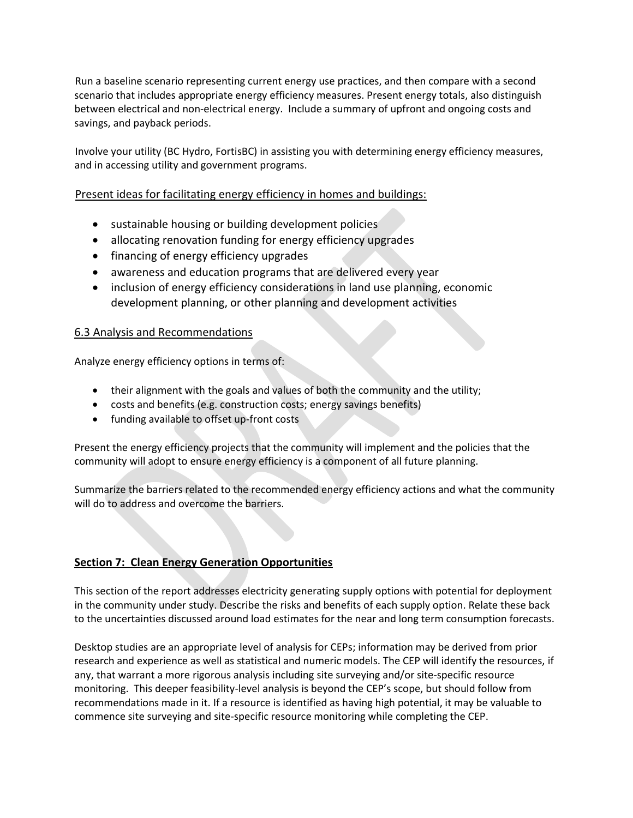Run a baseline scenario representing current energy use practices, and then compare with a second scenario that includes appropriate energy efficiency measures. Present energy totals, also distinguish between electrical and non-electrical energy. Include a summary of upfront and ongoing costs and savings, and payback periods.

Involve your utility (BC Hydro, FortisBC) in assisting you with determining energy efficiency measures, and in accessing utility and government programs.

## Present ideas for facilitating energy efficiency in homes and buildings:

- sustainable housing or building development policies
- allocating renovation funding for energy efficiency upgrades
- financing of energy efficiency upgrades
- awareness and education programs that are delivered every year
- inclusion of energy efficiency considerations in land use planning, economic development planning, or other planning and development activities

#### 6.3 Analysis and Recommendations

Analyze energy efficiency options in terms of:

- their alignment with the goals and values of both the community and the utility;
- costs and benefits (e.g. construction costs; energy savings benefits)
- funding available to offset up-front costs

Present the energy efficiency projects that the community will implement and the policies that the community will adopt to ensure energy efficiency is a component of all future planning.

Summarize the barriers related to the recommended energy efficiency actions and what the community will do to address and overcome the barriers.

## **Section 7: Clean Energy Generation Opportunities**

This section of the report addresses electricity generating supply options with potential for deployment in the community under study. Describe the risks and benefits of each supply option. Relate these back to the uncertainties discussed around load estimates for the near and long term consumption forecasts.

Desktop studies are an appropriate level of analysis for CEPs; information may be derived from prior research and experience as well as statistical and numeric models. The CEP will identify the resources, if any, that warrant a more rigorous analysis including site surveying and/or site-specific resource monitoring. This deeper feasibility-level analysis is beyond the CEP's scope, but should follow from recommendations made in it. If a resource is identified as having high potential, it may be valuable to commence site surveying and site-specific resource monitoring while completing the CEP.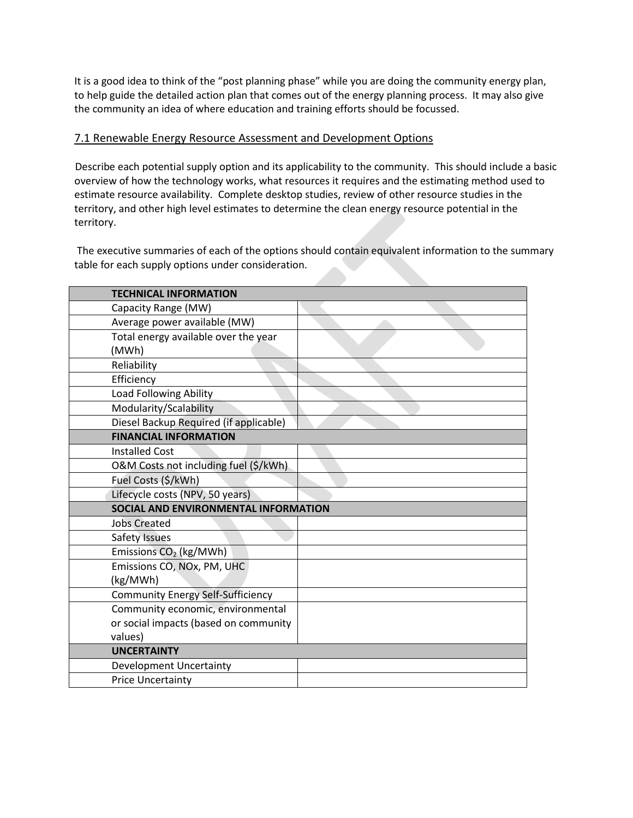It is a good idea to think of the "post planning phase" while you are doing the community energy plan, to help guide the detailed action plan that comes out of the energy planning process. It may also give the community an idea of where education and training efforts should be focussed.

#### 7.1 Renewable Energy Resource Assessment and Development Options

Describe each potential supply option and its applicability to the community. This should include a basic overview of how the technology works, what resources it requires and the estimating method used to estimate resource availability. Complete desktop studies, review of other resource studies in the territory, and other high level estimates to determine the clean energy resource potential in the territory.

The executive summaries of each of the options should contain equivalent information to the summary table for each supply options under consideration.

| <b>TECHNICAL INFORMATION</b>             |  |  |  |
|------------------------------------------|--|--|--|
| Capacity Range (MW)                      |  |  |  |
| Average power available (MW)             |  |  |  |
| Total energy available over the year     |  |  |  |
| (MWh)                                    |  |  |  |
| Reliability                              |  |  |  |
| Efficiency                               |  |  |  |
| Load Following Ability                   |  |  |  |
| Modularity/Scalability                   |  |  |  |
| Diesel Backup Required (if applicable)   |  |  |  |
| <b>FINANCIAL INFORMATION</b>             |  |  |  |
| <b>Installed Cost</b>                    |  |  |  |
| O&M Costs not including fuel (\$/kWh)    |  |  |  |
| Fuel Costs (\$/kWh)                      |  |  |  |
| Lifecycle costs (NPV, 50 years)          |  |  |  |
| SOCIAL AND ENVIRONMENTAL INFORMATION     |  |  |  |
| <b>Jobs Created</b>                      |  |  |  |
| Safety Issues                            |  |  |  |
| Emissions CO <sub>2</sub> (kg/MWh)       |  |  |  |
| Emissions CO, NOx, PM, UHC               |  |  |  |
| (kg/MWh)                                 |  |  |  |
| <b>Community Energy Self-Sufficiency</b> |  |  |  |
| Community economic, environmental        |  |  |  |
| or social impacts (based on community    |  |  |  |
| values)                                  |  |  |  |
| <b>UNCERTAINTY</b>                       |  |  |  |
| <b>Development Uncertainty</b>           |  |  |  |
| <b>Price Uncertainty</b>                 |  |  |  |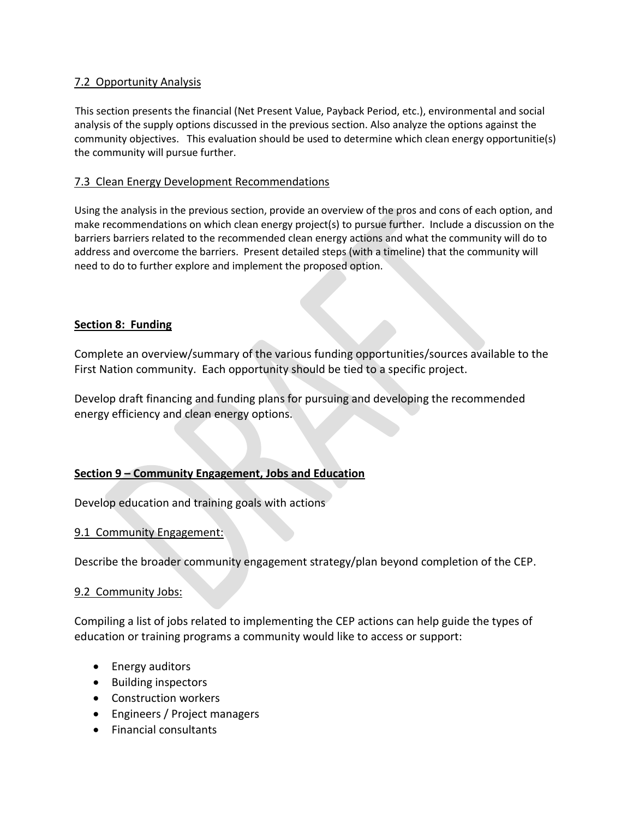# 7.2 Opportunity Analysis

This section presents the financial (Net Present Value, Payback Period, etc.), environmental and social analysis of the supply options discussed in the previous section. Also analyze the options against the community objectives. This evaluation should be used to determine which clean energy opportunitie(s) the community will pursue further.

## 7.3 Clean Energy Development Recommendations

Using the analysis in the previous section, provide an overview of the pros and cons of each option, and make recommendations on which clean energy project(s) to pursue further. Include a discussion on the barriers barriers related to the recommended clean energy actions and what the community will do to address and overcome the barriers. Present detailed steps (with a timeline) that the community will need to do to further explore and implement the proposed option.

## **Section 8: Funding**

Complete an overview/summary of the various funding opportunities/sources available to the First Nation community. Each opportunity should be tied to a specific project.

Develop draft financing and funding plans for pursuing and developing the recommended energy efficiency and clean energy options.

# **Section 9 – Community Engagement, Jobs and Education**

Develop education and training goals with actions

## 9.1 Community Engagement:

Describe the broader community engagement strategy/plan beyond completion of the CEP.

## 9.2 Community Jobs:

Compiling a list of jobs related to implementing the CEP actions can help guide the types of education or training programs a community would like to access or support:

- Energy auditors
- Building inspectors
- Construction workers
- Engineers / Project managers
- Financial consultants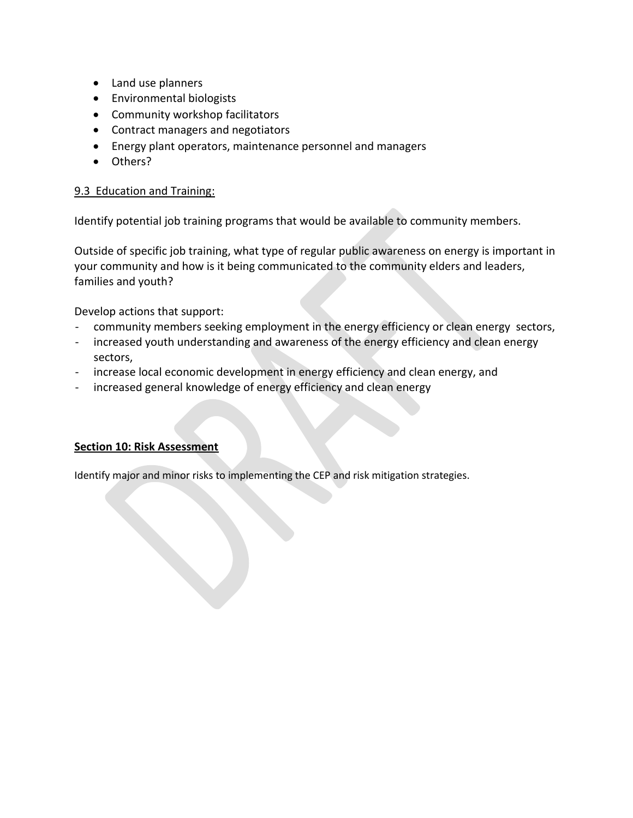- Land use planners
- Environmental biologists
- Community workshop facilitators
- Contract managers and negotiators
- Energy plant operators, maintenance personnel and managers
- Others?

# 9.3 Education and Training:

Identify potential job training programs that would be available to community members.

Outside of specific job training, what type of regular public awareness on energy is important in your community and how is it being communicated to the community elders and leaders, families and youth?

Develop actions that support:

- community members seeking employment in the energy efficiency or clean energy sectors,
- increased youth understanding and awareness of the energy efficiency and clean energy sectors,
- increase local economic development in energy efficiency and clean energy, and
- increased general knowledge of energy efficiency and clean energy

# **Section 10: Risk Assessment**

Identify major and minor risks to implementing the CEP and risk mitigation strategies.